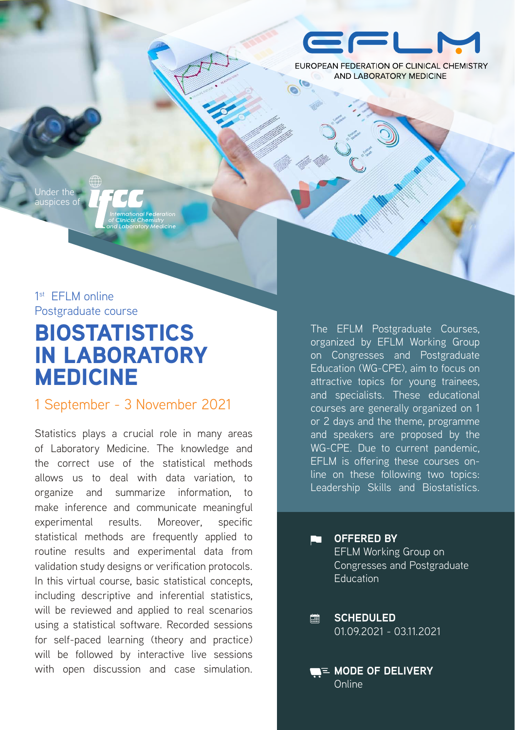

FUROPEAN FEDERATION OF CUNICAL CHEMISTRY **AND LABORATORY MEDICINE** 

Under the auspices of

1<sup>st</sup> FFI M online Postgraduate course

# BIOSTATISTICS IN LABORATORY MEDICINE

1 September - 3 November 2021

Statistics plays a crucial role in many areas of Laboratory Medicine. The knowledge and the correct use of the statistical methods allows us to deal with data variation, to organize and summarize information, to make inference and communicate meaningful experimental results. Moreover, specific statistical methods are frequently applied to routine results and experimental data from validation study designs or verification protocols. In this virtual course, basic statistical concepts, including descriptive and inferential statistics, will be reviewed and applied to real scenarios using a statistical software. Recorded sessions for self-paced learning (theory and practice) will be followed by interactive live sessions with open discussion and case simulation. The EFLM Postgraduate Courses, organized by EFLM Working Group on Congresses and Postgraduate Education (WG-CPE), aim to focus on attractive topics for young trainees, and specialists. These educational courses are generally organized on 1 or 2 days and the theme, programme and speakers are proposed by the WG-CPE. Due to current pandemic, EFLM is offering these courses online on these following two topics: Leadership Skills and Biostatistics.

**OFFERED BY ET L** EFLM Working Group on Congresses and Postgraduate **Education** 

**SCHEDULED**  $\Box$ 01.09.2021 - 03.11.2021

**MODE OF DELIVERY** Online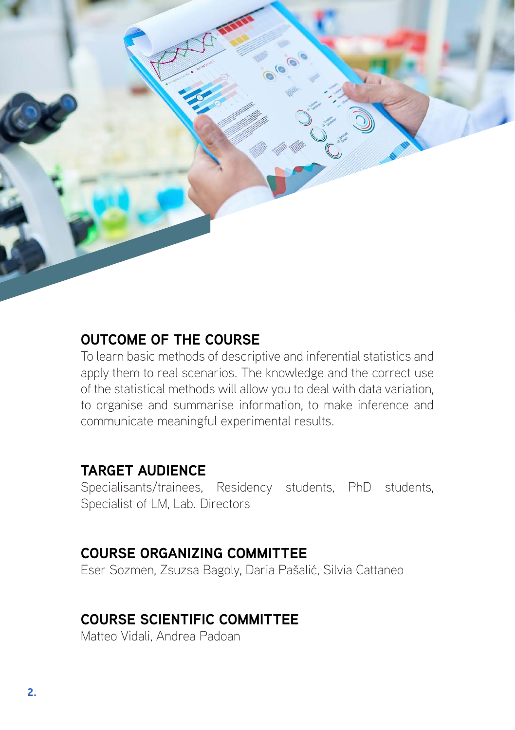

## **OUTCOME OF THE COURSE**

To learn basic methods of descriptive and inferential statistics and apply them to real scenarios. The knowledge and the correct use of the statistical methods will allow you to deal with data variation, to organise and summarise information, to make inference and communicate meaningful experimental results.

### **TARGET AUDIENCE**

Specialisants/trainees, Residency students, PhD students, Specialist of LM, Lab. Directors

# **COURSE ORGANIZING COMMITTEE**

Eser Sozmen, Zsuzsa Bagoly, Daria Pašalić, Silvia Cattaneo

# **COURSE SCIENTIFIC COMMITTEE**

Matteo Vidali, Andrea Padoan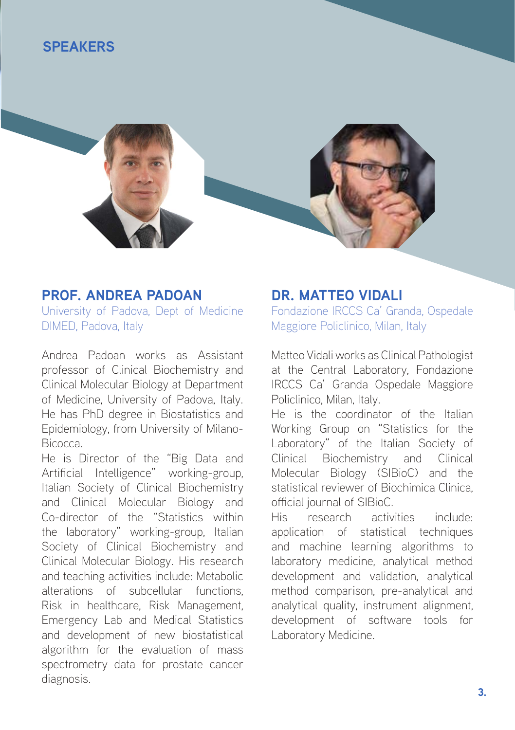### **SPEAKERS**



### **PROF. ANDREA PADOAN**

University of Padova, Dept of Medicine DIMED, Padova, Italy

Andrea Padoan works as Assistant professor of Clinical Biochemistry and Clinical Molecular Biology at Department of Medicine, University of Padova, Italy. He has PhD degree in Biostatistics and Epidemiology, from University of Milano-Bicocca.

He is Director of the "Big Data and Artificial Intelligence" working-group, Italian Society of Clinical Biochemistry and Clinical Molecular Biology and Co-director of the "Statistics within the laboratory" working-group, Italian Society of Clinical Biochemistry and Clinical Molecular Biology. His research and teaching activities include: Metabolic alterations of subcellular functions, Risk in healthcare, Risk Management, Emergency Lab and Medical Statistics and development of new biostatistical algorithm for the evaluation of mass spectrometry data for prostate cancer diagnosis.

### **DR. MATTEO VIDALI**

Fondazione IRCCS Ca' Granda, Ospedale Maggiore Policlinico, Milan, Italy

Matteo Vidali works as Clinical Pathologist at the Central Laboratory, Fondazione IRCCS Ca' Granda Ospedale Maggiore Policlinico, Milan, Italy.

He is the coordinator of the Italian Working Group on "Statistics for the Laboratory" of the Italian Society of Clinical Biochemistry and Clinical Molecular Biology (SIBioC) and the statistical reviewer of Biochimica Clinica, official journal of SIBioC.

His research activities include: application of statistical techniques and machine learning algorithms to laboratory medicine, analytical method development and validation, analytical method comparison, pre-analytical and analytical quality, instrument alignment, development of software tools for Laboratory Medicine.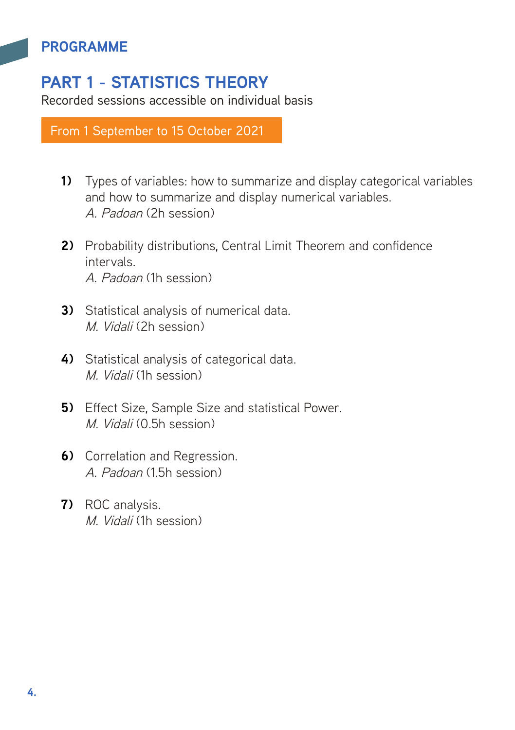# **PART 1 - STATISTICS THEORY**

Recorded sessions accessible on individual basis

From 1 September to 15 October 2021

- **1)** Types of variables: how to summarize and display categorical variables and how to summarize and display numerical variables. A. Padoan (2h session)
- **2)** Probability distributions, Central Limit Theorem and confidence intervals. A. Padoan (1h session)
- **3)** Statistical analysis of numerical data. M. Vidali (2h session)
- **4)** Statistical analysis of categorical data. M. Vidali (1h session)
- **5)** Effect Size, Sample Size and statistical Power. M. Vidali (0.5h session)
- **6)** Correlation and Regression. A. Padoan (1.5h session)
- **7)** ROC analysis. M. Vidali (1h session)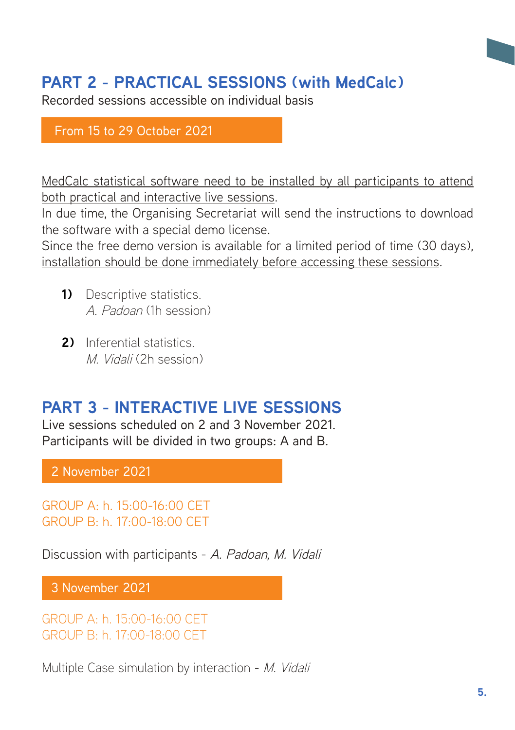# **PART 2 - PRACTICAL SESSIONS (with MedCalc)**

Recorded sessions accessible on individual basis

### From 15 to 29 October 2021

MedCalc statistical software need to be installed by all participants to attend both practical and interactive live sessions.

In due time, the Organising Secretariat will send the instructions to download the software with a special demo license.

Since the free demo version is available for a limited period of time (30 days), installation should be done immediately before accessing these sessions.

- **1)** Descriptive statistics. A. Padoan (1h session)
- **2)** Inferential statistics. M. Vidali (2h session)

# **PART 3 - INTERACTIVE LIVE SESSIONS**

Live sessions scheduled on 2 and 3 November 2021. Participants will be divided in two groups: A and B.

2 November 2021

GROUP A: h. 15:00-16:00 CET GROUP B: h. 17:00-18:00 CET

Discussion with participants - A. Padoan, M. Vidali

3 November 2021

GROUP A: h. 15:00-16:00 CET GROUP B: h. 17:00-18:00 CET

Multiple Case simulation by interaction - M. Vidali